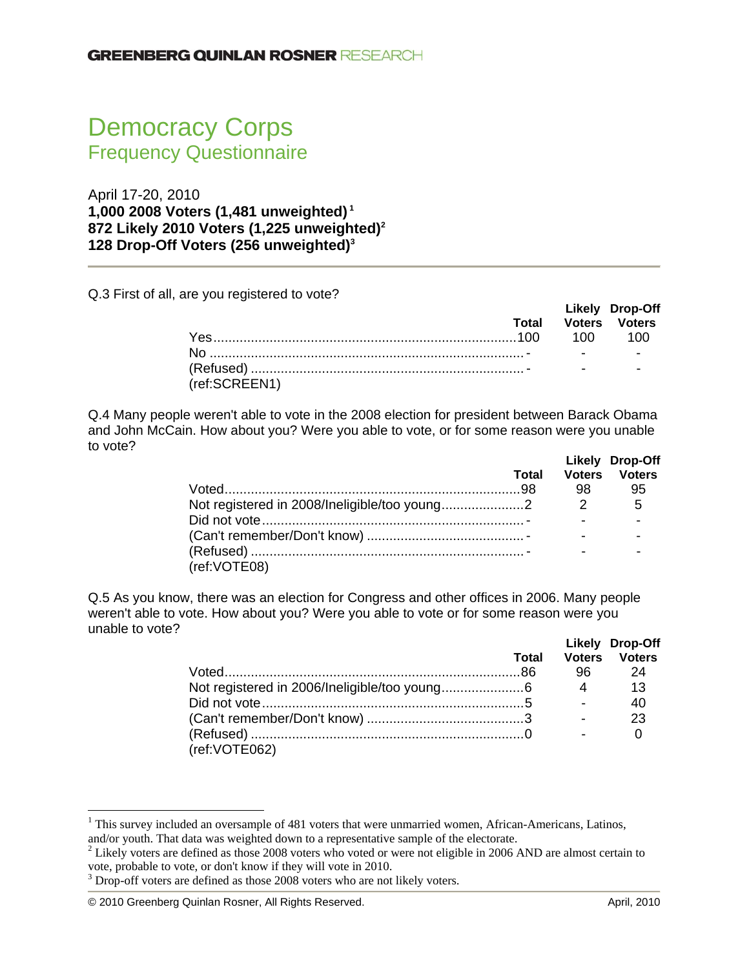# Democracy Corps Frequency Questionnaire

April 17-20, 2010 **1,000 2008 Voters (1,481 unweighted) <sup>1</sup> 872 Likely 2010 Voters (1,225 unweighted)2 128 Drop-Off Voters (256 unweighted)3**

Q.3 First of all, are you registered to vote?

|               |  | <b>Likely Drop-Off</b><br><b>Total Voters Voters</b> |
|---------------|--|------------------------------------------------------|
|               |  |                                                      |
|               |  |                                                      |
| (ref:SCREEN1) |  |                                                      |

Q.4 Many people weren't able to vote in the 2008 election for president between Barack Obama and John McCain. How about you? Were you able to vote, or for some reason were you unable to vote?

|              | Total |    | Likely Drop-Off<br><b>Voters Voters</b> |
|--------------|-------|----|-----------------------------------------|
|              |       | 98 | 95                                      |
|              |       |    | - 5                                     |
|              |       |    |                                         |
|              |       |    |                                         |
|              |       |    |                                         |
| (ref:VOTE08) |       |    |                                         |

Q.5 As you know, there was an election for Congress and other offices in 2006. Many people weren't able to vote. How about you? Were you able to vote or for some reason were you unable to vote?

|               | <b>Total</b> |                | Likely Drop-Off<br><b>Voters Voters</b> |
|---------------|--------------|----------------|-----------------------------------------|
|               |              |                | - 24                                    |
|               |              | $\overline{4}$ | 13                                      |
|               |              |                | 40                                      |
|               |              |                | 23                                      |
|               |              |                |                                         |
| (ref:VOTE062) |              |                |                                         |

 $\overline{a}$ 

 $1$  This survey included an oversample of 481 voters that were unmarried women, African-Americans, Latinos, and/or youth. That data was weighted down to a representative sample of the electorate. 2

 $2$  Likely voters are defined as those 2008 voters who voted or were not eligible in 2006 AND are almost certain to vote, probable to vote, or don't know if they will vote in 2010.

 $3$  Drop-off voters are defined as those 2008 voters who are not likely voters.

<sup>© 2010</sup> Greenberg Quinlan Rosner, All Rights Reserved. April, 2010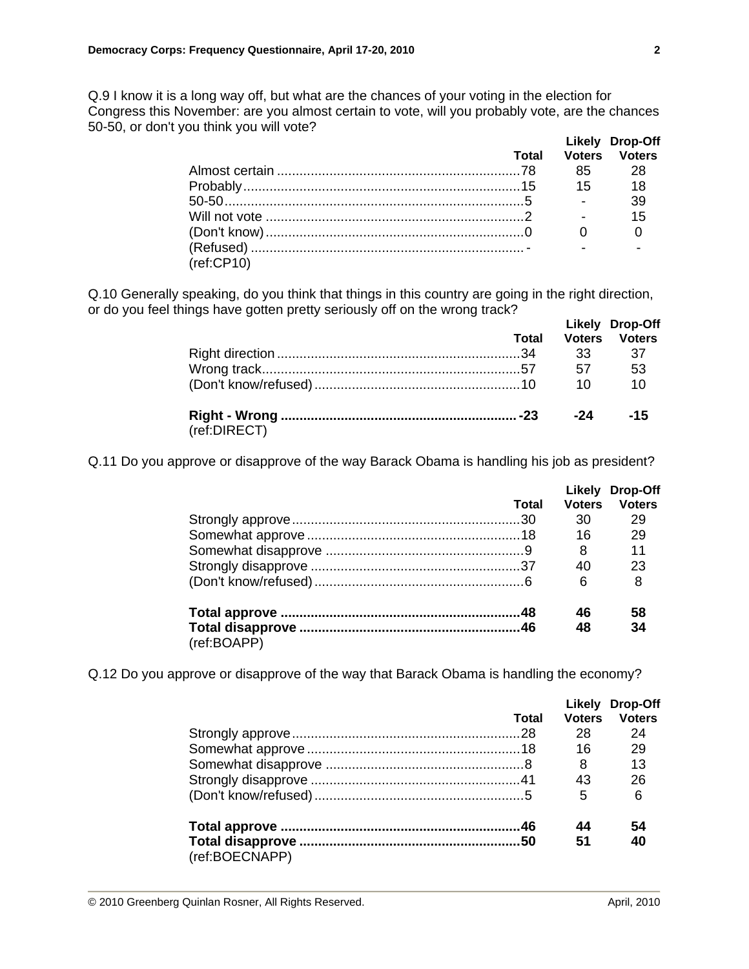Q.9 I know it is a long way off, but what are the chances of your voting in the election for Congress this November: are you almost certain to vote, will you probably vote, are the chances 50-50, or don't you think you will vote?

|            |       |                          | Likely Drop-Off      |
|------------|-------|--------------------------|----------------------|
|            | Total |                          | <b>Voters</b> Voters |
|            |       |                          |                      |
|            |       |                          |                      |
|            |       | <b>Contract Contract</b> | 39                   |
|            |       |                          | 15                   |
|            |       |                          |                      |
|            |       |                          |                      |
| (ref:CP10) |       |                          |                      |

Q.10 Generally speaking, do you think that things in this country are going in the right direction, or do you feel things have gotten pretty seriously off on the wrong track?  **Likely Drop-Off** 

|              |    | LINGLY DIOD-OIL<br><b>Total Voters Voters</b> |
|--------------|----|-----------------------------------------------|
|              |    |                                               |
|              | 57 | 53                                            |
|              | 10 | $\overline{10}$                               |
| (ref:DIRECT) |    | -15                                           |

Q.11 Do you approve or disapprove of the way Barack Obama is handling his job as president?

|             |       |               | Likely Drop-Off |
|-------------|-------|---------------|-----------------|
|             | Total | <b>Voters</b> | <b>Voters</b>   |
|             |       | 30            | 29              |
|             |       | 16            | 29              |
|             |       | 8             | 11              |
|             |       | 40            | 23              |
|             |       | 6             | 8               |
|             |       | 46            | 58              |
|             |       | 48            | 34              |
| (ref:BOAPP) |       |               |                 |

Q.12 Do you approve or disapprove of the way that Barack Obama is handling the economy?

|                |       |               | Likely Drop-Off |
|----------------|-------|---------------|-----------------|
|                | Total | <b>Voters</b> | <b>Voters</b>   |
|                |       | 28            | 24              |
|                |       | 16            | 29              |
|                |       | 8             | 13              |
|                |       | 43            | 26              |
|                |       | 5             | 6               |
|                |       | 44            | 54              |
|                |       | 51            | 40              |
| (ref:BOECNAPP) |       |               |                 |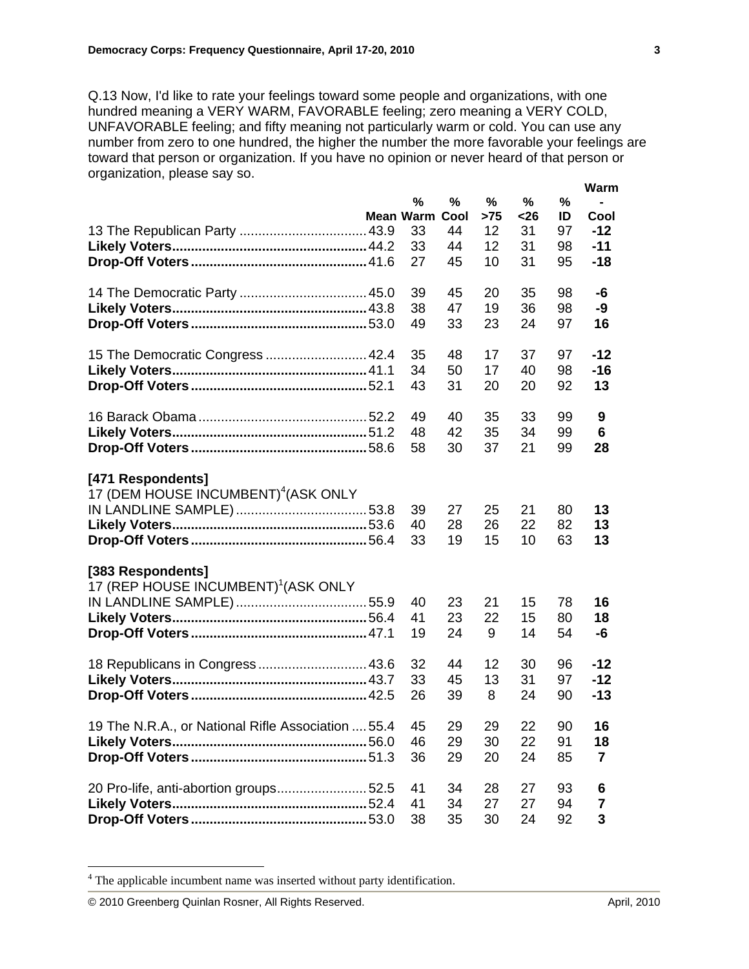Q.13 Now, I'd like to rate your feelings toward some people and organizations, with one hundred meaning a VERY WARM, FAVORABLE feeling; zero meaning a VERY COLD, UNFAVORABLE feeling; and fifty meaning not particularly warm or cold. You can use any number from zero to one hundred, the higher the number the more favorable your feelings are toward that person or organization. If you have no opinion or never heard of that person or organization, please say so.

|                                                    |           |      |     |      |    | Warm      |
|----------------------------------------------------|-----------|------|-----|------|----|-----------|
|                                                    | %         | %    | %   | %    | %  |           |
|                                                    | Mean Warm | Cool | >75 | $26$ | ID | Cool      |
|                                                    | 33        | 44   | 12  | 31   | 97 | $-12$     |
|                                                    | 33        | 44   | 12  | 31   | 98 | $-11$     |
|                                                    | 27        | 45   | 10  | 31   | 95 | $-18$     |
|                                                    |           |      |     |      |    |           |
|                                                    | 39        | 45   | 20  | 35   | 98 | -6        |
|                                                    | 38        | 47   | 19  | 36   | 98 | -9        |
|                                                    | 49        | 33   | 23  | 24   | 97 | 16        |
|                                                    |           |      |     |      |    |           |
| 15 The Democratic Congress  42.4                   | 35        | 48   | 17  | 37   | 97 | -12       |
|                                                    | 34        | 50   | 17  | 40   | 98 | $-16$     |
|                                                    | 43        | 31   | 20  | 20   | 92 | 13        |
|                                                    |           |      |     |      |    |           |
|                                                    | 49        | 40   | 35  | 33   | 99 | 9         |
|                                                    |           |      |     |      |    |           |
|                                                    | 48        | 42   | 35  | 34   | 99 | 6         |
|                                                    | 58        | 30   | 37  | 21   | 99 | 28        |
|                                                    |           |      |     |      |    |           |
| [471 Respondents]                                  |           |      |     |      |    |           |
| 17 (DEM HOUSE INCUMBENT) <sup>4</sup> (ASK ONLY    |           |      |     |      |    |           |
|                                                    | 39        | 27   | 25  | 21   | 80 | 13        |
|                                                    | 40        | 28   | 26  | 22   | 82 | 13        |
|                                                    | 33        | 19   | 15  | 10   | 63 | 13        |
|                                                    |           |      |     |      |    |           |
| [383 Respondents]                                  |           |      |     |      |    |           |
| 17 (REP HOUSE INCUMBENT) <sup>1</sup> (ASK ONLY    |           |      |     |      |    |           |
|                                                    | 40        | 23   | 21  | 15   | 78 | 16        |
|                                                    | 41        | 23   | 22  | 15   | 80 | 18        |
|                                                    | 19        | 24   | 9   | 14   | 54 | -6        |
|                                                    |           |      |     |      |    |           |
| 18 Republicans in Congress 43.6                    | 32        | 44   | 12  | 30   | 96 | $-12$     |
|                                                    | 33        | 45   | 13  | 31   | 97 | $-12$     |
|                                                    | 26        | 39   | 8   | 24   | 90 | $-13$     |
|                                                    |           |      |     |      |    |           |
| 19 The N.R.A., or National Rifle Association  55.4 | 45        | 29   | 29  | 22   | 90 | 16        |
|                                                    | 46        | 29   | 30  | 22   | 91 | 18        |
|                                                    | 36        | 29   | 20  | 24   | 85 | 7         |
|                                                    |           |      |     |      |    |           |
| 20 Pro-life, anti-abortion groups52.5              | 41        | 34   | 28  | 27   | 93 | 6         |
|                                                    | 41        | 34   | 27  | 27   | 94 | 7         |
|                                                    | 38        | 35   | 30  | 24   | 92 | ${\bf 3}$ |
|                                                    |           |      |     |      |    |           |

<sup>&</sup>lt;sup>4</sup> The applicable incumbent name was inserted without party identification.

 $\overline{a}$ 

<sup>© 2010</sup> Greenberg Quinlan Rosner, All Rights Reserved. April, 2010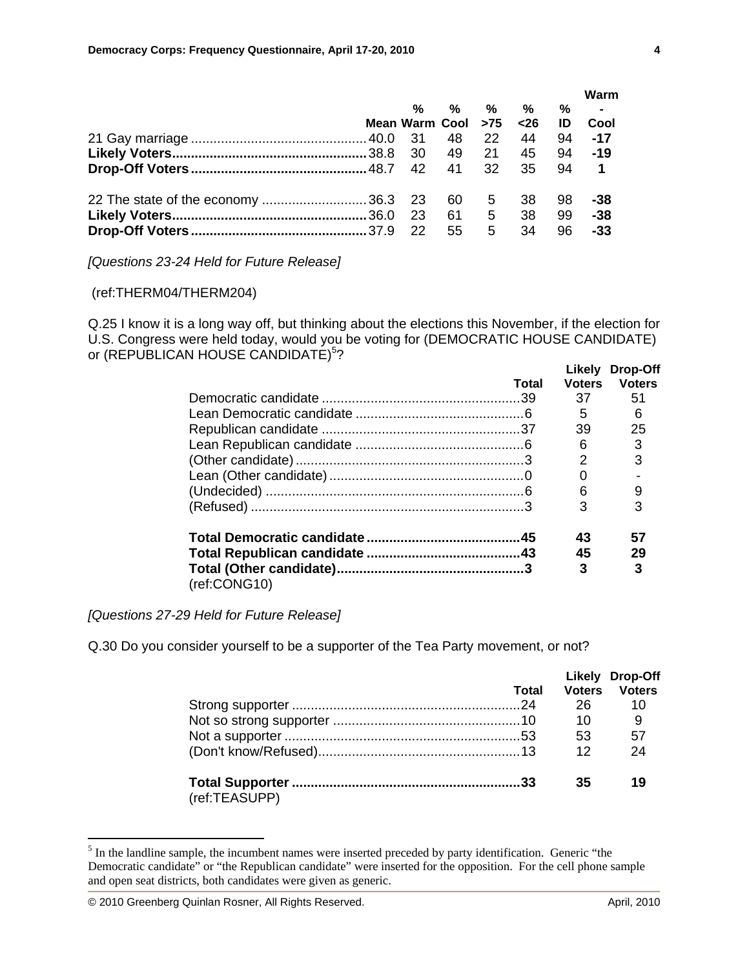|                                      |                           |       |                |      |    | Warm                    |
|--------------------------------------|---------------------------|-------|----------------|------|----|-------------------------|
|                                      | %                         | $\%$  | %              | $\%$ | %  | $\sim 100$ km s $^{-1}$ |
|                                      | Mean Warm Cool >75 <26 ID |       |                |      |    | Cool                    |
|                                      |                           | 48 22 |                | 44   | 94 | -17                     |
|                                      |                           |       | 49 21          | 45   | 94 | $-19$                   |
|                                      |                           |       |                | 35   | 94 | $\blacksquare$          |
| 22 The state of the economy  36.3 23 |                           | 60 —  | 5 <sup>5</sup> | 38   | 98 | -38                     |
|                                      | - 23                      | 61 —  | 5 <sub>5</sub> | -38  | 99 | $-38$                   |
|                                      | 22                        | 55    | 5              | 34   | 96 | $-33$                   |

*[Questions 23-24 Held for Future Release]* 

#### (ref:THERM04/THERM204)

Q.25 I know it is a long way off, but thinking about the elections this November, if the election for U.S. Congress were held today, would you be voting for (DEMOCRATIC HOUSE CANDIDATE) or (REPUBLICAN HOUSE CANDIDATE)<sup>5</sup>?  **Likely Drop-Off** 

|              | Total | <b>Voters</b> | LIKEIV LITOD-UTT<br><b>Voters</b> |
|--------------|-------|---------------|-----------------------------------|
|              |       | 37            | 51                                |
|              |       | 5             | 6                                 |
|              |       | 39            | 25                                |
|              |       | 6             | 3                                 |
|              |       |               |                                   |
|              |       |               |                                   |
|              |       | 6             |                                   |
|              |       | З             |                                   |
|              |       | 43            | 57                                |
|              |       | 45            | 29                                |
| (ref:CONG10) |       | 3             |                                   |

*[Questions 27-29 Held for Future Release]* 

Q.30 Do you consider yourself to be a supporter of the Tea Party movement, or not?

|               | Total |                 | Likely Drop-Off<br><b>Voters</b> Voters |
|---------------|-------|-----------------|-----------------------------------------|
|               |       |                 | 10                                      |
|               |       | 10              | - 9                                     |
|               |       | 53              | - 57                                    |
|               |       | 12 <sup>°</sup> | 24                                      |
| (ref:TEASUPP) |       | 35              | 19                                      |

 $<sup>5</sup>$  In the landline sample, the incumbent names were inserted preceded by party identification. Generic "the</sup> Democratic candidate" or "the Republican candidate" were inserted for the opposition. For the cell phone sample and open seat districts, both candidates were given as generic.

 $\overline{a}$ 

<sup>© 2010</sup> Greenberg Quinlan Rosner, All Rights Reserved. April, 2010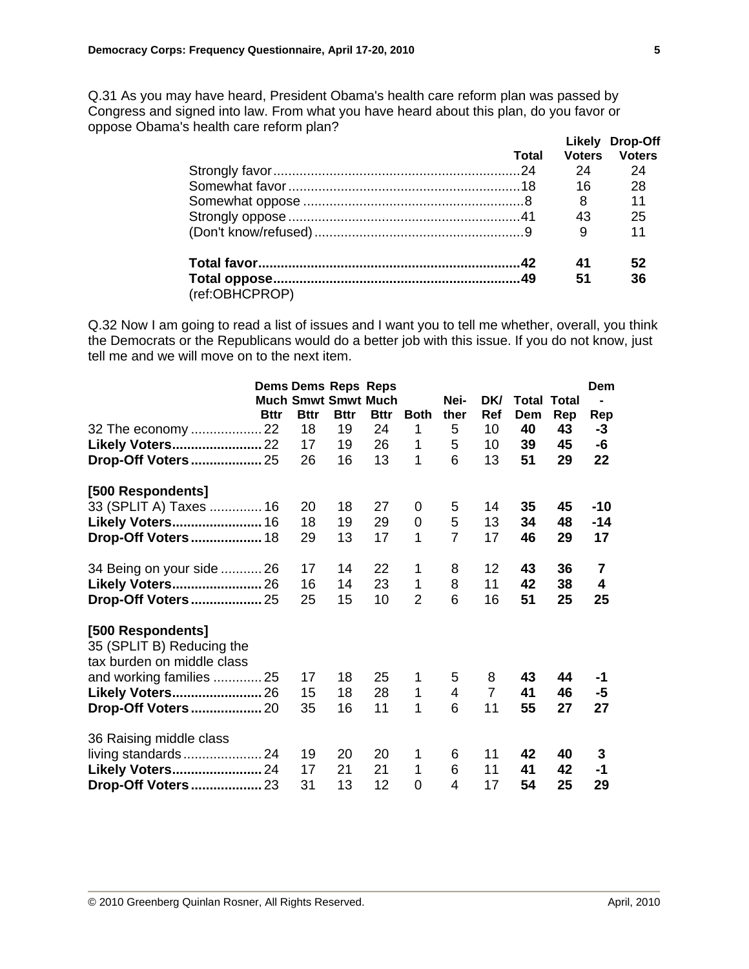Q.31 As you may have heard, President Obama's health care reform plan was passed by Congress and signed into law. From what you have heard about this plan, do you favor or oppose Obama's health care reform plan?

|                |       |               | Likely Drop-Off |
|----------------|-------|---------------|-----------------|
|                | Total | <b>Voters</b> | <b>Voters</b>   |
|                |       | 24            | 24              |
|                |       | 16            | 28              |
|                |       | 8             | 11              |
|                |       | 43            | 25              |
|                |       | 9             | 11              |
|                |       | 41            | 52              |
|                |       | 51            | 36              |
| (ref:OBHCPROP) |       |               |                 |

Q.32 Now I am going to read a list of issues and I want you to tell me whether, overall, you think the Democrats or the Republicans would do a better job with this issue. If you do not know, just tell me and we will move on to the next item.

|                            |             | <b>Dems Dems Reps Reps</b> |             |             |                |                |                |                    |     | Dem            |
|----------------------------|-------------|----------------------------|-------------|-------------|----------------|----------------|----------------|--------------------|-----|----------------|
|                            |             | <b>Much Smwt Smwt Much</b> |             |             |                | Nei-           | DK/            | <b>Total Total</b> |     | -              |
|                            | <b>Bttr</b> | <b>Bttr</b>                | <b>Bttr</b> | <b>Bttr</b> | <b>Both</b>    | ther           | Ref            | Dem                | Rep | Rep            |
| 32 The economy  22         |             | 18                         | 19          | 24          | 1              | 5              | 10             | 40                 | 43  | -3             |
| Likely Voters 22           |             | 17                         | 19          | 26          | 1              | 5              | 10             | 39                 | 45  | -6             |
|                            |             | 26                         | 16          | 13          | 1              | 6              | 13             | 51                 | 29  | 22             |
|                            |             |                            |             |             |                |                |                |                    |     |                |
| [500 Respondents]          |             |                            |             |             |                |                |                |                    |     |                |
| 33 (SPLIT A) Taxes  16     |             | 20                         | 18          | 27          | 0              | 5              | 14             | 35                 | 45  | -10            |
| Likely Voters 16           |             | 18                         | 19          | 29          | 0              | 5              | 13             | 34                 | 48  | -14            |
| Drop-Off Voters 18         |             | 29                         | 13          | 17          | 1              | $\overline{7}$ | 17             | 46                 | 29  | 17             |
|                            |             |                            |             |             |                |                |                |                    |     |                |
| 34 Being on your side  26  |             | 17                         | 14          | 22          | 1              | 8              | 12             | 43                 | 36  | $\overline{7}$ |
| Likely Voters 26           |             | 16                         | 14          | 23          | 1              | 8              | 11             | 42                 | 38  | 4              |
| <b>Drop-Off Voters 25</b>  |             | 25                         | 15          | 10          | $\overline{2}$ | 6              | 16             | 51                 | 25  | 25             |
|                            |             |                            |             |             |                |                |                |                    |     |                |
| [500 Respondents]          |             |                            |             |             |                |                |                |                    |     |                |
| 35 (SPLIT B) Reducing the  |             |                            |             |             |                |                |                |                    |     |                |
| tax burden on middle class |             |                            |             |             |                |                |                |                    |     |                |
| and working families  25   |             | 17                         | 18          | 25          | 1              | 5              | 8              | 43                 | 44  | -1             |
| Likely Voters 26           |             | 15                         | 18          | 28          | 1              | 4              | $\overline{7}$ | 41                 | 46  | -5             |
| Drop-Off Voters 20         |             | 35                         | 16          | 11          | 1              | 6              | 11             | 55                 | 27  | 27             |
|                            |             |                            |             |             |                |                |                |                    |     |                |
| 36 Raising middle class    |             |                            |             |             |                |                |                |                    |     |                |
|                            |             | 19                         | 20          | 20          | 1              | 6              | 11             | 42                 | 40  | 3              |
| Likely Voters 24           |             | 17                         | 21          | 21          | 1              | 6              | 11             | 41                 | 42  | -1             |
|                            |             | 31                         | 13          | 12          | 0              | 4              | 17             | 54                 | 25  | 29             |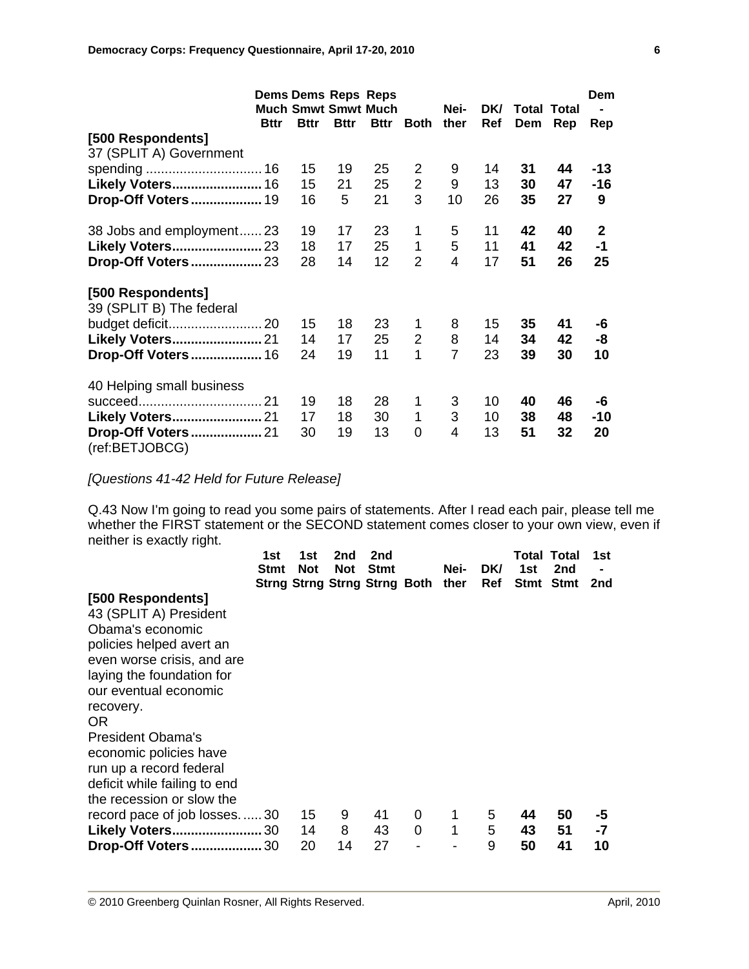|                                               | <b>Dems Dems Reps Reps</b> |             |                            |             |                |      |            |                    |     | Dem            |
|-----------------------------------------------|----------------------------|-------------|----------------------------|-------------|----------------|------|------------|--------------------|-----|----------------|
|                                               |                            |             | <b>Much Smwt Smwt Much</b> |             |                | Nei- | DK/        | <b>Total Total</b> |     |                |
|                                               | <b>Bttr</b>                | <b>Bttr</b> | <b>Bttr</b>                | <b>Bttr</b> | <b>Both</b>    | ther | <b>Ref</b> | Dem                | Rep | Rep            |
| [500 Respondents]                             |                            |             |                            |             |                |      |            |                    |     |                |
| 37 (SPLIT A) Government                       |                            |             |                            |             |                |      |            |                    |     |                |
|                                               |                            | 15          | 19                         | 25          | $\overline{2}$ | 9    | 14         | 31                 | 44  | $-13$          |
| Likely Voters 16                              |                            | 15          | 21                         | 25          | $\overline{2}$ | 9    | 13         | 30                 | 47  | $-16$          |
| Drop-Off Voters 19                            |                            | 16          | 5                          | 21          | 3              | 10   | 26         | 35                 | 27  | 9              |
| 38 Jobs and employment23                      |                            | 19          | 17                         | 23          | 1              | 5    | 11         | 42                 | 40  | $\overline{2}$ |
| Likely Voters 23                              |                            | 18          | 17                         | 25          | 1              | 5    | 11         | 41                 | 42  | $-1$           |
|                                               |                            | 28          | 14                         | 12          | $\overline{2}$ | 4    | 17         | 51                 | 26  | 25             |
| [500 Respondents]<br>39 (SPLIT B) The federal |                            |             |                            |             |                |      |            |                    |     |                |
|                                               |                            | 15          | 18                         | 23          | 1              | 8    | 15         | 35                 | 41  | -6             |
| Likely Voters 21                              |                            | 14          | 17                         | 25          | $\overline{2}$ | 8    | 14         | 34                 | 42  | -8             |
| <b>Drop-Off Voters 16</b>                     |                            | 24          | 19                         | 11          | 1              | 7    | 23         | 39                 | 30  | 10             |
| 40 Helping small business                     |                            |             |                            |             |                |      |            |                    |     |                |
|                                               |                            | 19          | 18                         | 28          | 1              | 3    | 10         | 40                 | 46  | -6             |
| Likely Voters 21                              |                            | 17          | 18                         | 30          | 1              | 3    | 10         | 38                 | 48  | $-10$          |
| <b>Drop-Off Voters 21</b><br>(ref:BETJOBCG)   |                            | 30          | 19                         | 13          | 0              | 4    | 13         | 51                 | 32  | 20             |

*[Questions 41-42 Held for Future Release]* 

Q.43 Now I'm going to read you some pairs of statements. After I read each pair, please tell me whether the FIRST statement or the SECOND statement comes closer to your own view, even if neither is exactly right.

|                                                                                                                                                                                                              | 1st<br>Stmt | 1st<br><b>Not</b> | 2nd<br><b>Not</b> | 2nd<br><b>Stmt</b><br>Strng Strng Strng Strng Both ther |        | Nei-   | DK/<br>Ref  | <b>Total Total</b><br>1st<br>Stmt Stmt | 2nd            | 1st<br>2nd     |
|--------------------------------------------------------------------------------------------------------------------------------------------------------------------------------------------------------------|-------------|-------------------|-------------------|---------------------------------------------------------|--------|--------|-------------|----------------------------------------|----------------|----------------|
| [500 Respondents]<br>43 (SPLIT A) President<br>Obama's economic<br>policies helped avert an<br>even worse crisis, and are<br>laying the foundation for<br>our eventual economic<br>recovery.<br>OR.          |             |                   |                   |                                                         |        |        |             |                                        |                |                |
| President Obama's<br>economic policies have<br>run up a record federal<br>deficit while failing to end<br>the recession or slow the<br>record pace of job losses30<br>Likely Voters 30<br>Drop-Off Voters 30 |             | 15<br>14<br>20    | 9<br>8<br>14      | 41<br>43<br>27                                          | 0<br>0 | 1<br>1 | 5<br>5<br>9 | 44<br>43<br>50                         | 50<br>51<br>41 | -5<br>-7<br>10 |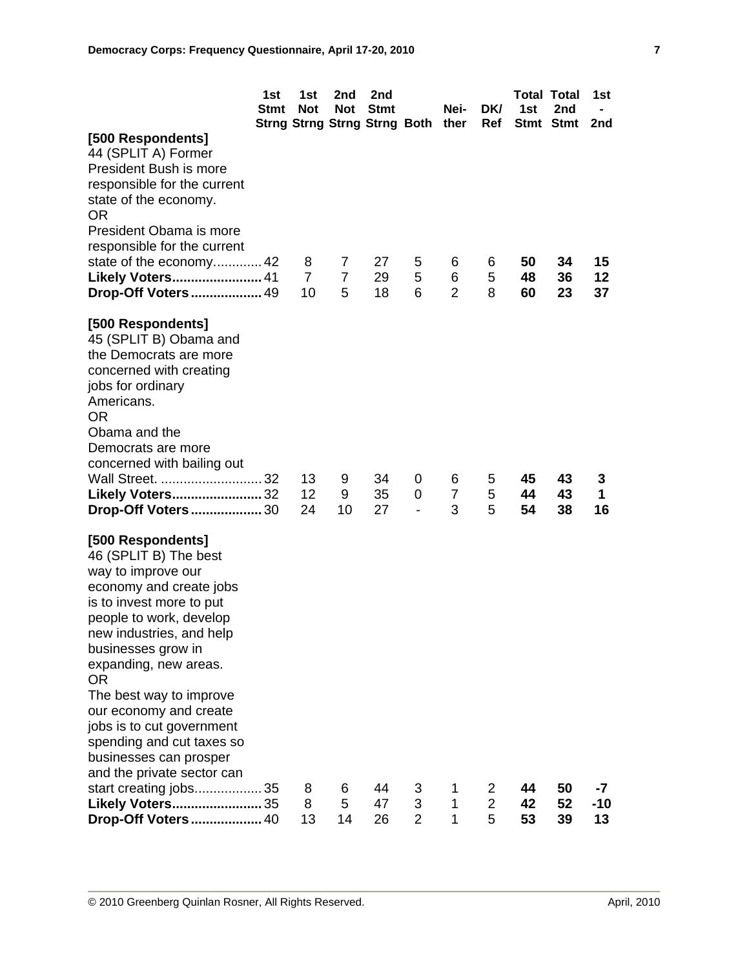|                                                                                                                                                                                                                                                                                                                                                                                                                                                            | 1st<br><b>Stmt</b> | 1st<br><b>Not</b>         | 2nd<br><b>Not</b>        | 2nd<br><b>Stmt</b><br>Strng Strng Strng Strng Both ther |                     | Nei-                     | <b>DKI</b><br>Ref   | 1st            | <b>Total Total</b><br>2nd<br>Stmt Stmt | 1st<br>2nd     |
|------------------------------------------------------------------------------------------------------------------------------------------------------------------------------------------------------------------------------------------------------------------------------------------------------------------------------------------------------------------------------------------------------------------------------------------------------------|--------------------|---------------------------|--------------------------|---------------------------------------------------------|---------------------|--------------------------|---------------------|----------------|----------------------------------------|----------------|
| [500 Respondents]<br>44 (SPLIT A) Former<br>President Bush is more<br>responsible for the current<br>state of the economy.<br>OR<br>President Obama is more<br>responsible for the current<br>state of the economy 42<br>Likely Voters 41<br>Drop-Off Voters 49                                                                                                                                                                                            |                    | 8<br>$\overline{7}$<br>10 | 7<br>$\overline{7}$<br>5 | 27<br>29<br>18                                          | 5<br>5<br>6         | 6<br>6<br>$\overline{2}$ | 6<br>5<br>8         | 50<br>48<br>60 | 34<br>36<br>23                         | 15<br>12<br>37 |
| [500 Respondents]<br>45 (SPLIT B) Obama and<br>the Democrats are more<br>concerned with creating<br>jobs for ordinary<br>Americans.<br>0R<br>Obama and the<br>Democrats are more<br>concerned with bailing out<br>Wall Street.  32<br>Likely Voters 32                                                                                                                                                                                                     |                    | 13<br>12<br>24            | 9<br>9<br>10             | 34<br>35<br>27                                          | 0<br>0              | 6<br>$\overline{7}$<br>3 | 5<br>5<br>5         | 45<br>44<br>54 | 43<br>43                               | 3<br>1<br>16   |
| Drop-Off Voters 30<br>[500 Respondents]<br>46 (SPLIT B) The best<br>way to improve our<br>economy and create jobs<br>is to invest more to put<br>people to work, develop<br>new industries, and help<br>businesses grow in<br>expanding, new areas.<br>0R<br>The best way to improve<br>our economy and create<br>jobs is to cut government<br>spending and cut taxes so<br>businesses can prosper<br>and the private sector can<br>start creating jobs 35 |                    | 8                         | 6<br>5                   | 44<br>47                                                | 3                   | 1                        | 2<br>$\overline{2}$ | 44<br>42       | 38<br>50                               | -7             |
| Likely Voters 35<br>Drop-Off Voters 40                                                                                                                                                                                                                                                                                                                                                                                                                     |                    | 8<br>13                   | 14                       | 26                                                      | 3<br>$\overline{2}$ | 1<br>1                   | 5                   | 53             | 52<br>39                               | $-10$<br>13    |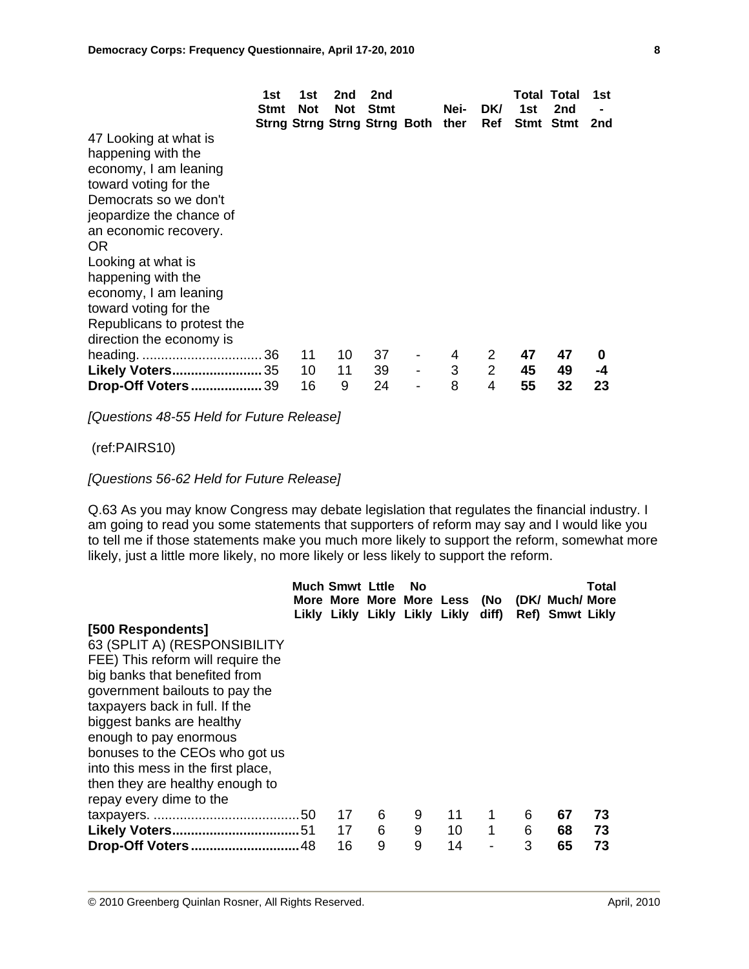|                                                                                                                                                                                                                                                                                  | 1st<br>Stmt | 1st<br><b>Not</b> | 2nd<br><b>Not</b> | 2nd<br><b>Stmt</b><br>Strng Strng Strng Strng Both ther | Nei-        | DK/<br>Ref               | 1st            | <b>Total Total</b><br>2nd<br>Stmt Stmt | 1st<br>2nd    |
|----------------------------------------------------------------------------------------------------------------------------------------------------------------------------------------------------------------------------------------------------------------------------------|-------------|-------------------|-------------------|---------------------------------------------------------|-------------|--------------------------|----------------|----------------------------------------|---------------|
| 47 Looking at what is<br>happening with the<br>economy, I am leaning<br>toward voting for the<br>Democrats so we don't<br>jeopardize the chance of<br>an economic recovery.<br>OR.<br>Looking at what is<br>happening with the<br>economy, I am leaning<br>toward voting for the |             |                   |                   |                                                         |             |                          |                |                                        |               |
| Republicans to protest the<br>direction the economy is                                                                                                                                                                                                                           |             |                   |                   |                                                         |             |                          |                |                                        |               |
| Likely Voters 35<br><b>Drop-Off Voters 39</b>                                                                                                                                                                                                                                    |             | 11<br>10<br>16    | 10<br>11<br>9     | 37<br>39<br>24                                          | 4<br>3<br>8 | 2<br>$\overline{2}$<br>4 | 47<br>45<br>55 | 47<br>49<br>32                         | 0<br>-4<br>23 |

*[Questions 48-55 Held for Future Release]* 

(ref:PAIRS10)

#### *[Questions 56-62 Held for Future Release]*

Q.63 As you may know Congress may debate legislation that regulates the financial industry. I am going to read you some statements that supporters of reform may say and I would like you to tell me if those statements make you much more likely to support the reform, somewhat more likely, just a little more likely, no more likely or less likely to support the reform.

|                                                                                                                                                                                                                                                                                                                                                                                          | <b>Much Smwt Lttle</b> |             | No          | Likly Likly Likly Likly Likly diff) |        |             | More More More More Less (No (DK/ Much/ More<br>Ref) Smwt Likly | Total          |
|------------------------------------------------------------------------------------------------------------------------------------------------------------------------------------------------------------------------------------------------------------------------------------------------------------------------------------------------------------------------------------------|------------------------|-------------|-------------|-------------------------------------|--------|-------------|-----------------------------------------------------------------|----------------|
| [500 Respondents]<br>63 (SPLIT A) (RESPONSIBILITY<br>FEE) This reform will require the<br>big banks that benefited from<br>government bailouts to pay the<br>taxpayers back in full. If the<br>biggest banks are healthy<br>enough to pay enormous<br>bonuses to the CEOs who got us<br>into this mess in the first place,<br>then they are healthy enough to<br>repay every dime to the |                        |             |             |                                     |        |             |                                                                 |                |
| Drop-Off Voters48                                                                                                                                                                                                                                                                                                                                                                        | 17<br>17<br>16         | 6<br>6<br>9 | 9<br>9<br>9 | 11<br>10<br>14                      | 1<br>1 | 6<br>6<br>3 | 67<br>68<br>65                                                  | 73<br>73<br>73 |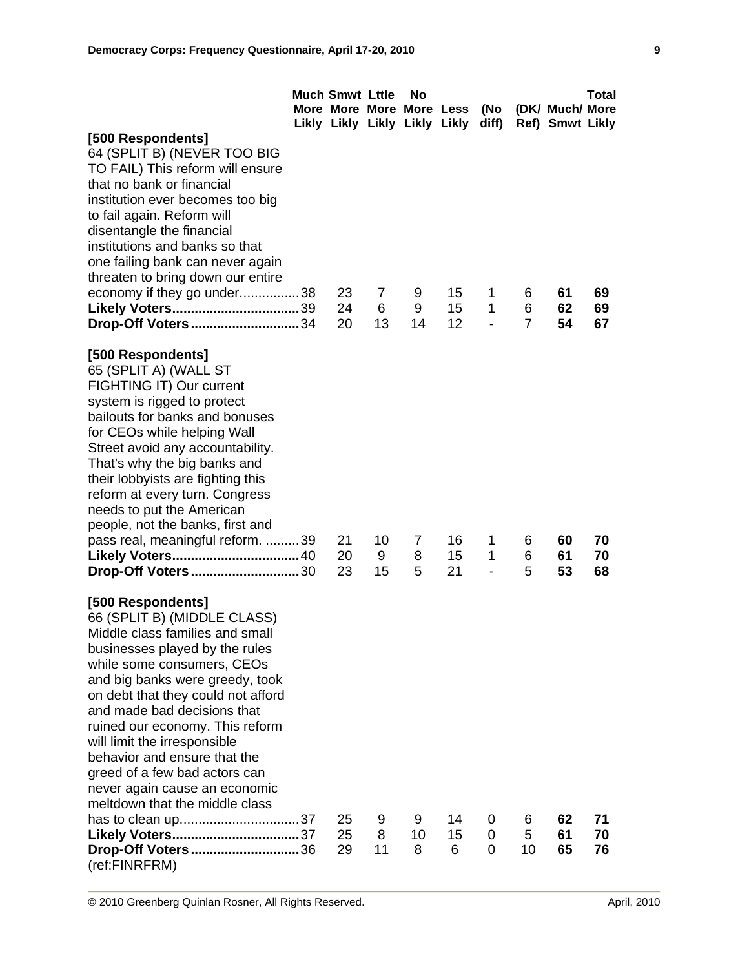|                                                                                                                                                                                                                                                                                                                                                                                                                                                                    | <b>Much Smwt Lttle</b><br>More More More More Less<br>Likly Likly Likly Likly Likly |               | No                       |                | (No<br>diff) |                | (DK/ Much/ More<br>Ref) Smwt Likly | <b>Total</b>   |
|--------------------------------------------------------------------------------------------------------------------------------------------------------------------------------------------------------------------------------------------------------------------------------------------------------------------------------------------------------------------------------------------------------------------------------------------------------------------|-------------------------------------------------------------------------------------|---------------|--------------------------|----------------|--------------|----------------|------------------------------------|----------------|
| [500 Respondents]<br>64 (SPLIT B) (NEVER TOO BIG<br>TO FAIL) This reform will ensure<br>that no bank or financial                                                                                                                                                                                                                                                                                                                                                  |                                                                                     |               |                          |                |              |                |                                    |                |
| institution ever becomes too big<br>to fail again. Reform will<br>disentangle the financial<br>institutions and banks so that<br>one failing bank can never again                                                                                                                                                                                                                                                                                                  |                                                                                     |               |                          |                |              |                |                                    |                |
| threaten to bring down our entire<br>economy if they go under38<br>Likely Voters39                                                                                                                                                                                                                                                                                                                                                                                 | 23<br>24                                                                            | 7<br>6        | 9<br>9                   | 15<br>15       | 1<br>1       | 6<br>6         | 61<br>62                           | 69<br>69       |
| Drop-Off Voters34                                                                                                                                                                                                                                                                                                                                                                                                                                                  | 20                                                                                  | 13            | 14                       | 12             |              | $\overline{7}$ | 54                                 | 67             |
| [500 Respondents]<br>65 (SPLIT A) (WALL ST<br>FIGHTING IT) Our current<br>system is rigged to protect<br>bailouts for banks and bonuses<br>for CEOs while helping Wall<br>Street avoid any accountability.<br>That's why the big banks and<br>their lobbyists are fighting this<br>reform at every turn. Congress<br>needs to put the American<br>people, not the banks, first and                                                                                 |                                                                                     |               |                          |                |              |                |                                    |                |
| pass real, meaningful reform. 39<br>Likely Voters 40<br>Drop-Off Voters30                                                                                                                                                                                                                                                                                                                                                                                          | 21<br>20<br>23                                                                      | 10<br>9<br>15 | $\overline{7}$<br>8<br>5 | 16<br>15<br>21 | 1<br>1       | 6<br>6<br>5    | 60<br>61<br>53                     | 70<br>70<br>68 |
| [500 Respondents]<br>66 (SPLIT B) (MIDDLE CLASS)<br>Middle class families and small<br>businesses played by the rules<br>while some consumers, CEOs<br>and big banks were greedy, took<br>on debt that they could not afford<br>and made bad decisions that<br>ruined our economy. This reform<br>will limit the irresponsible<br>behavior and ensure that the<br>greed of a few bad actors can<br>never again cause an economic<br>meltdown that the middle class |                                                                                     |               |                          |                |              |                |                                    |                |
| Likely Voters37<br>Drop-Off Voters36<br>(ref:FINRFRM)                                                                                                                                                                                                                                                                                                                                                                                                              | 25<br>25<br>29                                                                      | 9<br>8<br>11  | 9<br>10<br>8             | 14<br>15<br>6  | 0<br>0<br>0  | 6<br>5<br>10   | 62<br>61<br>65                     | 71<br>70<br>76 |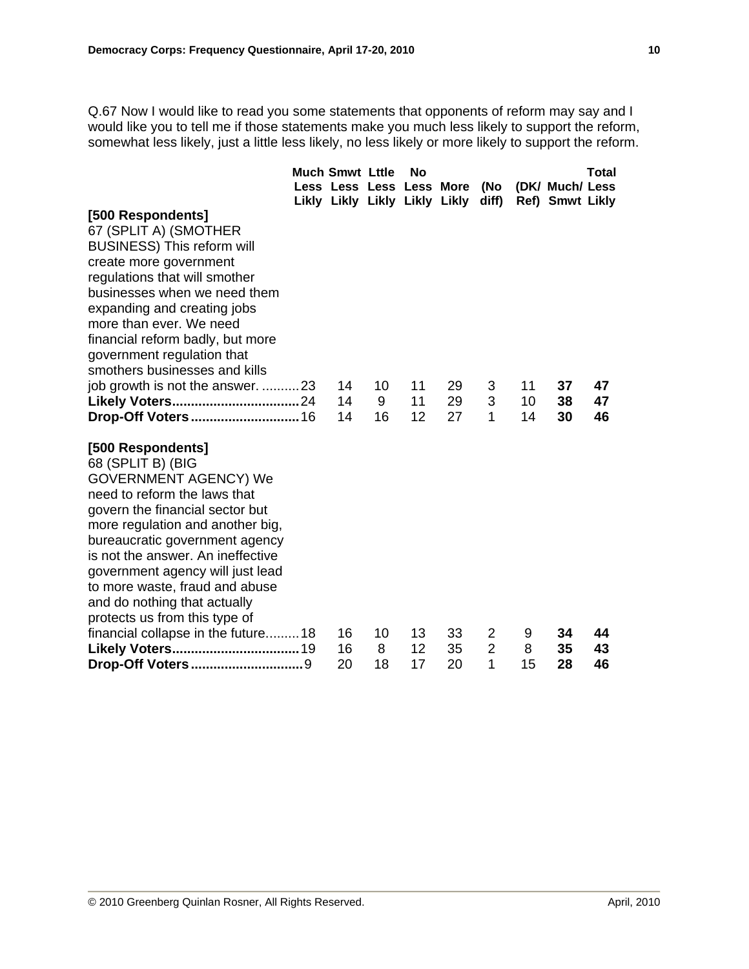Q.67 Now I would like to read you some statements that opponents of reform may say and I would like you to tell me if those statements make you much less likely to support the reform, somewhat less likely, just a little less likely, no less likely or more likely to support the reform.

|                                                        | <b>Much Smwt Lttle</b>        |    | No |    |                |    |                 | Total |
|--------------------------------------------------------|-------------------------------|----|----|----|----------------|----|-----------------|-------|
|                                                        | Less Less Less Less More      |    |    |    | (No            |    | (DK/ Much/ Less |       |
|                                                        | Likly Likly Likly Likly Likly |    |    |    | diff)          |    | Ref) Smwt Likly |       |
| [500 Respondents]                                      |                               |    |    |    |                |    |                 |       |
| 67 (SPLIT A) (SMOTHER                                  |                               |    |    |    |                |    |                 |       |
| <b>BUSINESS)</b> This reform will                      |                               |    |    |    |                |    |                 |       |
| create more government                                 |                               |    |    |    |                |    |                 |       |
| regulations that will smother                          |                               |    |    |    |                |    |                 |       |
| businesses when we need them                           |                               |    |    |    |                |    |                 |       |
| expanding and creating jobs<br>more than ever. We need |                               |    |    |    |                |    |                 |       |
| financial reform badly, but more                       |                               |    |    |    |                |    |                 |       |
| government regulation that                             |                               |    |    |    |                |    |                 |       |
| smothers businesses and kills                          |                               |    |    |    |                |    |                 |       |
| job growth is not the answer. 23                       | 14                            | 10 | 11 | 29 | 3              | 11 | 37              | 47    |
|                                                        | 14                            | 9  | 11 | 29 | 3              | 10 | 38              | 47    |
|                                                        | 14                            | 16 | 12 | 27 | 1              | 14 | 30              | 46    |
|                                                        |                               |    |    |    |                |    |                 |       |
| [500 Respondents]                                      |                               |    |    |    |                |    |                 |       |
| 68 (SPLIT B) (BIG                                      |                               |    |    |    |                |    |                 |       |
| <b>GOVERNMENT AGENCY) We</b>                           |                               |    |    |    |                |    |                 |       |
| need to reform the laws that                           |                               |    |    |    |                |    |                 |       |
| govern the financial sector but                        |                               |    |    |    |                |    |                 |       |
| more regulation and another big,                       |                               |    |    |    |                |    |                 |       |
| bureaucratic government agency                         |                               |    |    |    |                |    |                 |       |
| is not the answer. An ineffective                      |                               |    |    |    |                |    |                 |       |
| government agency will just lead                       |                               |    |    |    |                |    |                 |       |
| to more waste, fraud and abuse                         |                               |    |    |    |                |    |                 |       |
| and do nothing that actually                           |                               |    |    |    |                |    |                 |       |
| protects us from this type of                          |                               |    |    |    |                |    |                 |       |
| financial collapse in the future 18                    | 16                            | 10 | 13 | 33 | $\overline{2}$ | 9  | 34              | 44    |
|                                                        | 16                            | 8  | 12 | 35 | $\overline{2}$ | 8  | 35              | 43    |
|                                                        | 20                            | 18 | 17 | 20 | 1              | 15 | 28              | 46    |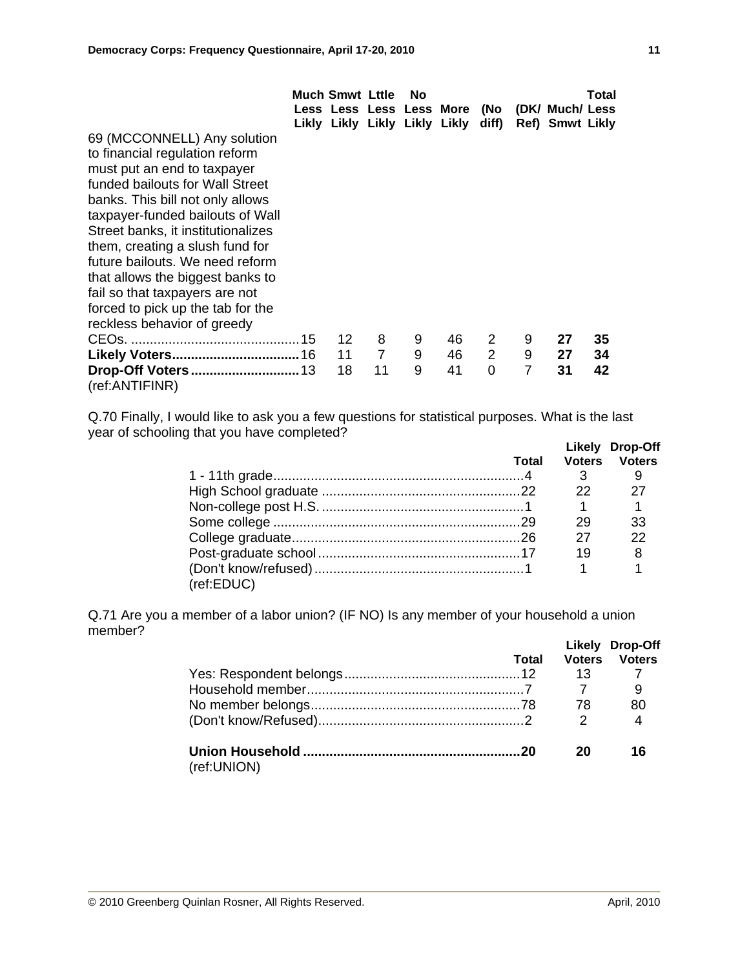|                                    | <b>Much Smwt Lttle</b> |    | No |                               |             |                |                                                                       | Total |
|------------------------------------|------------------------|----|----|-------------------------------|-------------|----------------|-----------------------------------------------------------------------|-------|
|                                    |                        |    |    | Likly Likly Likly Likly Likly |             |                | Less Less Less Less More (No (DK/ Much/ Less<br>diff) Ref) Smwt Likly |       |
| 69 (MCCONNELL) Any solution        |                        |    |    |                               |             |                |                                                                       |       |
| to financial regulation reform     |                        |    |    |                               |             |                |                                                                       |       |
| must put an end to taxpayer        |                        |    |    |                               |             |                |                                                                       |       |
| funded bailouts for Wall Street    |                        |    |    |                               |             |                |                                                                       |       |
| banks. This bill not only allows   |                        |    |    |                               |             |                |                                                                       |       |
| taxpayer-funded bailouts of Wall   |                        |    |    |                               |             |                |                                                                       |       |
| Street banks, it institutionalizes |                        |    |    |                               |             |                |                                                                       |       |
| them, creating a slush fund for    |                        |    |    |                               |             |                |                                                                       |       |
| future bailouts. We need reform    |                        |    |    |                               |             |                |                                                                       |       |
| that allows the biggest banks to   |                        |    |    |                               |             |                |                                                                       |       |
| fail so that taxpayers are not     |                        |    |    |                               |             |                |                                                                       |       |
| forced to pick up the tab for the  |                        |    |    |                               |             |                |                                                                       |       |
| reckless behavior of greedy        |                        |    |    |                               |             |                |                                                                       |       |
|                                    | 12                     | 8  | 9  | 46                            | 2           | 9              | 27                                                                    | 35    |
|                                    | $11 \quad 7$           |    | 9  | 46                            | $2^{\circ}$ | 9              | 27                                                                    | 34    |
|                                    | 18                     | 11 | 9  | 41                            | 0           | $\overline{7}$ | 31                                                                    | 42    |
| (ref:ANTIFINR)                     |                        |    |    |                               |             |                |                                                                       |       |

Q.70 Finally, I would like to ask you a few questions for statistical purposes. What is the last year of schooling that you have completed?

|            |       |     | Likely Drop-Off      |
|------------|-------|-----|----------------------|
|            | Total |     | <b>Voters Voters</b> |
|            |       |     |                      |
|            |       | 22. |                      |
|            |       |     |                      |
|            |       | 29  | 33                   |
|            |       | 27  | 22                   |
|            |       | 19  |                      |
|            |       |     |                      |
| (ref:EDUC) |       |     |                      |

Q.71 Are you a member of a labor union? (IF NO) Is any member of your household a union member?

|             | Total | <b>Voters</b> | Likely Drop-Off<br><b>Voters</b> |
|-------------|-------|---------------|----------------------------------|
|             |       | 13            |                                  |
|             |       |               |                                  |
|             |       | 78            | 80                               |
|             |       | 2             |                                  |
| (ref:UNION) |       | 20            | 16                               |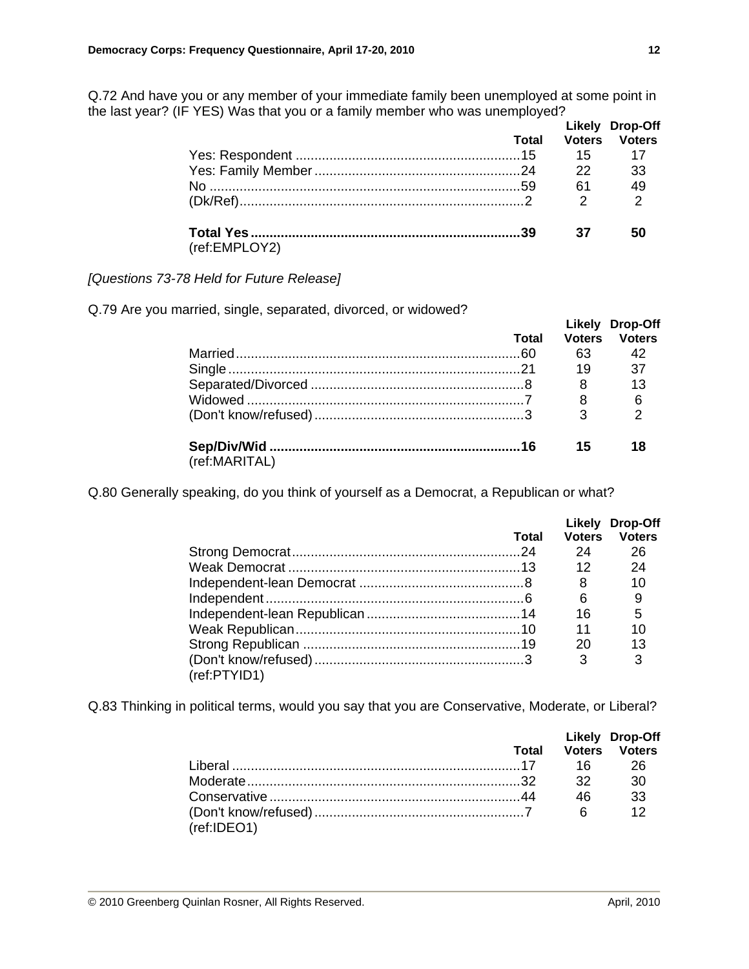|               | <b>Total</b> |                | Likely Drop-Off<br><b>Voters Voters</b><br>15 17 |
|---------------|--------------|----------------|--------------------------------------------------|
|               |              | $\frac{22}{2}$ | - 33                                             |
|               |              |                | 49                                               |
|               |              | $\mathcal{P}$  | $\overline{2}$                                   |
| (ref:EMPLOY2) |              | 37             | 50                                               |

Q.72 And have you or any member of your immediate family been unemployed at some point in the last year? (IF YES) Was that you or a family member who was unemployed?

## *[Questions 73-78 Held for Future Release]*

Q.79 Are you married, single, separated, divorced, or widowed?

|               |       |    | Likely Drop-Off |
|---------------|-------|----|-----------------|
|               | Total |    | Voters Voters   |
|               |       | 63 | 42              |
|               |       | 19 | 37              |
|               |       |    | 13              |
|               |       | 8  | 6               |
|               |       |    | ⌒               |
|               |       | 15 | 18              |
| (ref:MARITAL) |       |    |                 |

Q.80 Generally speaking, do you think of yourself as a Democrat, a Republican or what?

|              |       |               | Likely Drop-Off |
|--------------|-------|---------------|-----------------|
|              | Total | <b>Voters</b> | <b>Voters</b>   |
|              |       | 24            | 26              |
|              |       | 12            | 24              |
|              |       | 8             | 10              |
|              |       | 6             |                 |
|              |       | 16            | 5               |
|              |       | 11            | 10              |
|              |       | 20            | 13              |
|              |       | 3             | 3               |
| (ref:PTYID1) |       |               |                 |

Q.83 Thinking in political terms, would you say that you are Conservative, Moderate, or Liberal?

|             |    | Likely Drop-Off            |
|-------------|----|----------------------------|
|             |    | <b>Total Voters Voters</b> |
|             |    |                            |
|             |    | $30^{\circ}$               |
|             | 46 | 33                         |
|             |    | 12                         |
| (ref:IDEO1) |    |                            |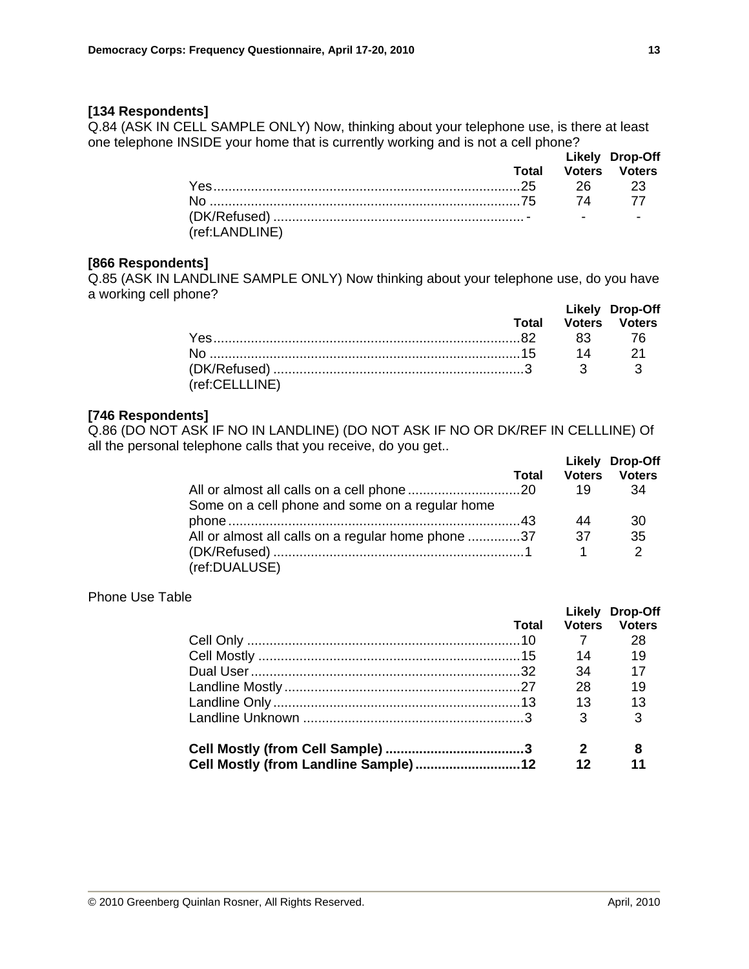### **[134 Respondents]**

Q.84 (ASK IN CELL SAMPLE ONLY) Now, thinking about your telephone use, is there at least one telephone INSIDE your home that is currently working and is not a cell phone?

|                |  | <b>Likely Drop-Off</b><br><b>Total Voters Voters</b> |
|----------------|--|------------------------------------------------------|
|                |  |                                                      |
|                |  |                                                      |
| (ref:LANDLINE) |  |                                                      |

#### **[866 Respondents]**

Q.85 (ASK IN LANDLINE SAMPLE ONLY) Now thinking about your telephone use, do you have a working cell phone?

|                |  | Likely Drop-Off            |
|----------------|--|----------------------------|
|                |  | <b>Total Voters Voters</b> |
|                |  |                            |
|                |  | $14$ $21$                  |
| (ref:CELLLINE) |  |                            |

#### **[746 Respondents]**

Q.86 (DO NOT ASK IF NO IN LANDLINE) (DO NOT ASK IF NO OR DK/REF IN CELLLINE) Of all the personal telephone calls that you receive, do you get..  **Likely Drop-Off** 

|                                                    | Total | <b>Voters</b> | LIKEIV DIOD-UIT<br><b>Voters</b> |
|----------------------------------------------------|-------|---------------|----------------------------------|
|                                                    |       | 19            | 34                               |
| Some on a cell phone and some on a regular home    |       |               |                                  |
|                                                    |       | 44            | 30                               |
| All or almost all calls on a regular home phone 37 |       | .37           | 35                               |
|                                                    |       |               | 2                                |
| (ref:DUALUSE)                                      |       |               |                                  |

#### Phone Use Table

|                                      |       |               | Likely Drop-Off |
|--------------------------------------|-------|---------------|-----------------|
|                                      | Total | <b>Voters</b> | <b>Voters</b>   |
|                                      |       |               | 28              |
|                                      |       | 14            | 19              |
|                                      |       | 34            | 17              |
|                                      |       | 28            | 19              |
|                                      |       | $\sim$ 13     | 13              |
|                                      |       | 3             | 3               |
|                                      |       |               |                 |
| Cell Mostly (from Landline Sample)12 |       | 12            |                 |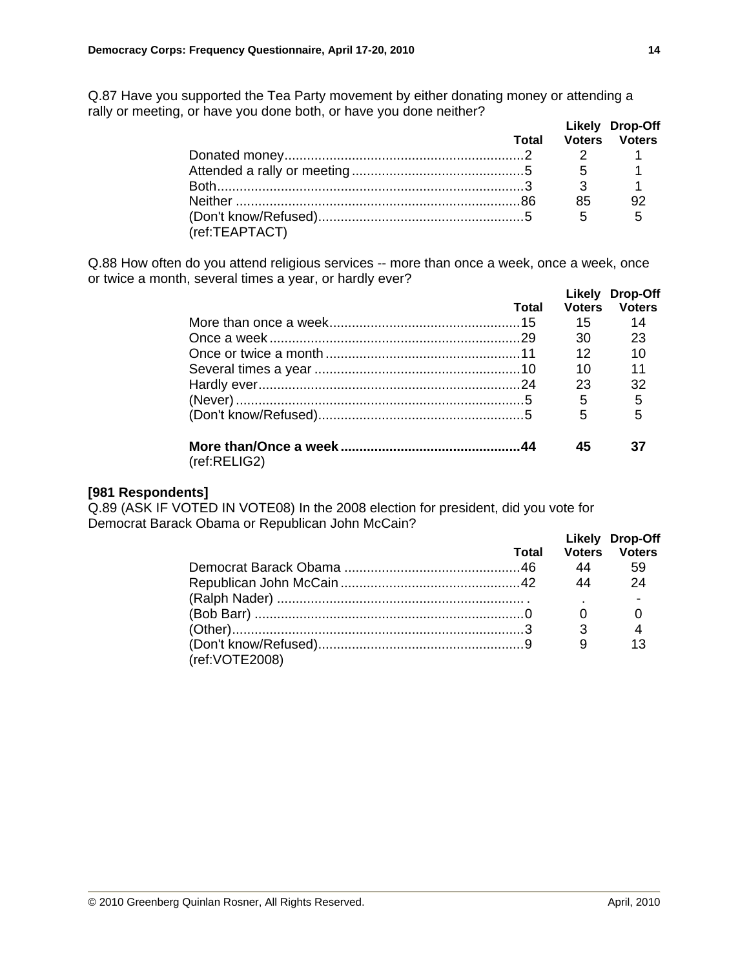Q.87 Have you supported the Tea Party movement by either donating money or attending a rally or meeting, or have you done both, or have you done neither?  **Likely Drop-Off** 

|                |    | LIKEIV LITOD-UTT           |
|----------------|----|----------------------------|
|                |    | <b>Total Voters Voters</b> |
|                |    |                            |
|                |    |                            |
|                |    |                            |
|                | 85 | 92                         |
|                |    | $-5$                       |
| (ref:TEAPTACT) |    |                            |

Q.88 How often do you attend religious services -- more than once a week, once a week, once or twice a month, several times a year, or hardly ever?

|              |       |               | Likely Drop-Off |
|--------------|-------|---------------|-----------------|
|              | Total | <b>Voters</b> | <b>Voters</b>   |
|              |       | 15            | 14              |
|              |       | 30            | 23              |
|              |       | 12            | 10              |
|              |       | 10            | 11              |
|              |       | 23            | 32              |
|              |       | 5             | 5               |
|              |       | 5             | 5               |
| (ref:RELIG2) |       | 45            |                 |

#### **[981 Respondents]**

Q.89 (ASK IF VOTED IN VOTE08) In the 2008 election for president, did you vote for Democrat Barack Obama or Republican John McCain?

|                  | Total | <b>Voters</b> | Likely Drop-Off<br><b>Voters</b> |
|------------------|-------|---------------|----------------------------------|
|                  |       | 44            | 59                               |
|                  |       | 44            | 24                               |
|                  |       |               |                                  |
|                  |       |               |                                  |
|                  |       | 3             |                                  |
| (ref: VOTE 2008) |       |               |                                  |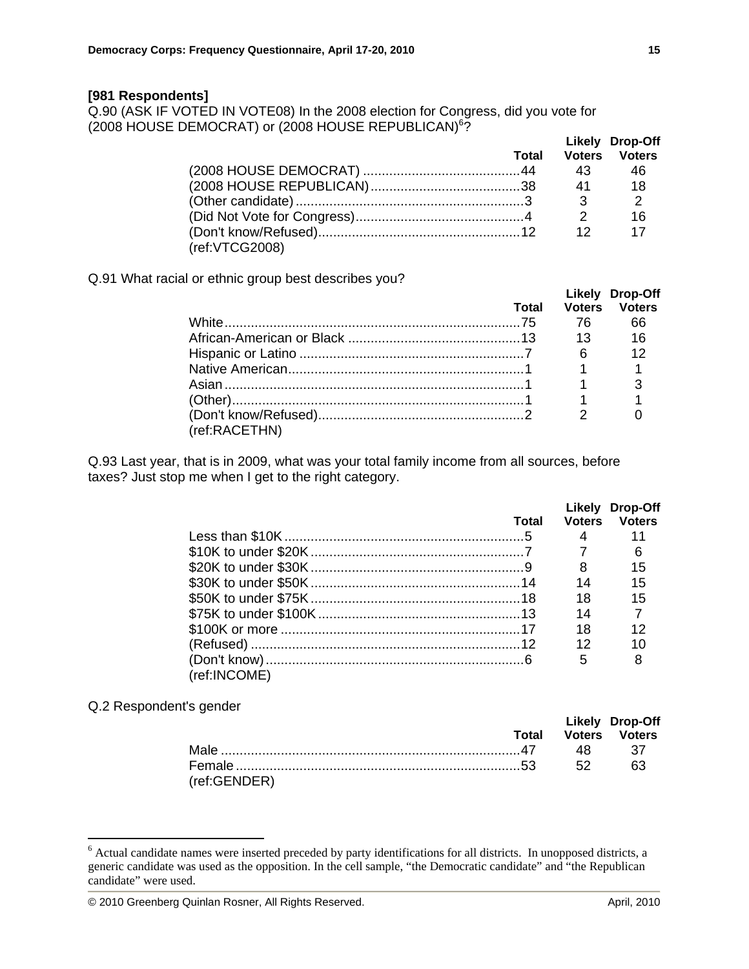#### **[981 Respondents]**

Q.90 (ASK IF VOTED IN VOTE08) In the 2008 election for Congress, did you vote for (2008 HOUSE DEMOCRAT) or (2008 HOUSE REPUBLICAN)<sup>6</sup>?

|                | <b>Total</b> |                 | Likely Drop-Off<br><b>Voters Voters</b> |
|----------------|--------------|-----------------|-----------------------------------------|
|                |              |                 | - 46                                    |
|                |              |                 | $\overline{18}$                         |
|                |              |                 | $\overline{2}$                          |
|                |              |                 | 16                                      |
|                |              | 12 <sup>7</sup> | 17                                      |
| (ref:VTCG2008) |              |                 |                                         |

Q.91 What racial or ethnic group best describes you?

|               | Total |     | Likely Drop-Off<br>Voters Voters |
|---------------|-------|-----|----------------------------------|
|               |       | 76. | 66                               |
|               |       |     |                                  |
|               |       | 6   | 12                               |
|               |       |     |                                  |
|               |       |     |                                  |
|               |       |     |                                  |
|               |       |     |                                  |
| (ref:RACETHN) |       |     |                                  |

Q.93 Last year, that is in 2009, what was your total family income from all sources, before taxes? Just stop me when I get to the right category.

|              |       |    | Likely Drop-Off      |
|--------------|-------|----|----------------------|
|              | Total |    | <b>Voters Voters</b> |
|              |       | 4  |                      |
|              |       |    | 6                    |
|              |       | 8  | 15                   |
|              |       | 14 | 15                   |
|              |       | 18 | 15                   |
|              |       | 14 | $\overline{7}$       |
|              |       | 18 | 12                   |
|              |       | 12 | 10                   |
|              |       | 5  | 8                    |
| (ref:INCOME) |       |    |                      |

Q.2 Respondent's gender

 $\overline{a}$ 

|                                          |    | Likely Drop-Off            |
|------------------------------------------|----|----------------------------|
|                                          |    | <b>Total Voters Voters</b> |
| Male …………………………………………………………………………47   48 |    | - 37                       |
|                                          | 52 | 63                         |
| (ref:GENDER)                             |    |                            |

**15**

<sup>&</sup>lt;sup>6</sup> Actual candidate names were inserted preceded by party identifications for all districts. In unopposed districts, a generic candidate was used as the opposition. In the cell sample, "the Democratic candidate" and "the Republican candidate" were used.

<sup>© 2010</sup> Greenberg Quinlan Rosner, All Rights Reserved. April, 2010